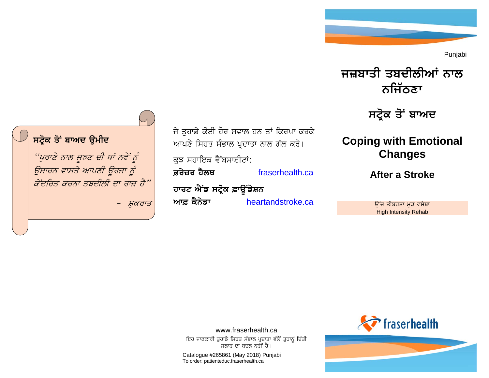Punjabi



ਸਟ੍ਰੋਕ ਤੋਂ ਬਾਅ**ਦ** 

# **Coping with Emotional Changes**

**After a Stroke**

ਉੱਚ ਤੀਬਰਤਾ ਮੁੜ ਵਸੇਬਾ High Intensity Rehab



ਜੇ ਤਹਾਡੇ ਕੋਈ ਹੋਰ ਸਵਾਲ ਹਨ ਤਾਂ ਕਿਰਪਾ ਕਰਕੇ ਆਪਣੇ ਸਿਹਤ ਸੰਭਾਲ ਪ੍ਰਦਾਤਾ ਨਾਲ ਗੱਲ ਕਰੋ। ਕਝ ਸਹਾਇਕ ਵੈੱਬਸਾਈਟਾਂ: **&ryzr hYlQ** [fraserhealth.ca](http://www.fraserhealth.ca/)  ਹਾਰਟ ਐਂਡ ਸਟ੍ਰੋਕ ਫ਼ਾਊਂਡੇਸ਼ਨ **Aw& kYnyfw** [heartandstroke.ca](http://www.heartandstroke.ca/)



www.fraserhealth.ca ਇਹ ਜਾਣਕਾਰੀ ਤੁਹਾਡੇ ਸਿਹਤ ਸੰਭਾਲ ਪ੍ਰਦਾਤਾ ਵੱਲੋਂ ਤੁਹਾਨੂੰ ਦਿੱਤੀ ਸਲਾਹ ਦਾ ਬਦਲ ਨਹੀਂ ਹੈ।

Catalogue #265861 (May 2018) Punjabi To order: patienteduc.fraserhealth.ca